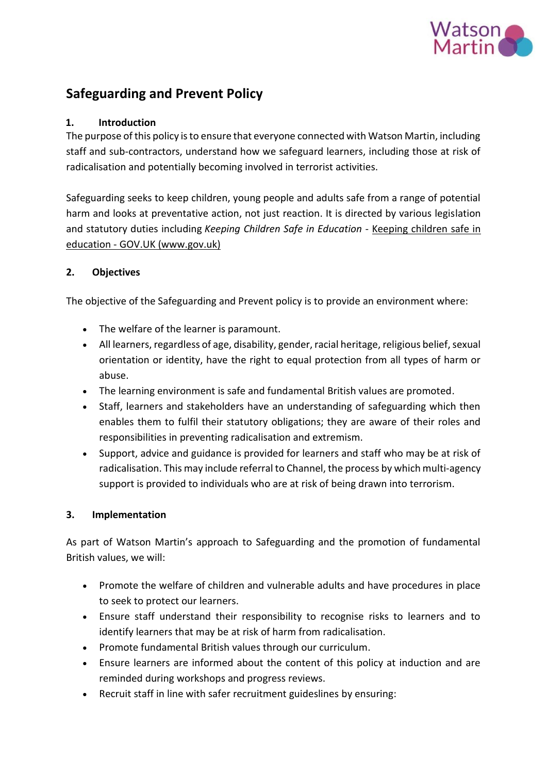

# **Safeguarding and Prevent Policy**

# **1. Introduction**

The purpose of this policy is to ensure that everyone connected with Watson Martin, including staff and sub-contractors, understand how we safeguard learners, including those at risk of radicalisation and potentially becoming involved in terrorist activities.

Safeguarding seeks to keep children, young people and adults safe from a range of potential harm and looks at preventative action, not just reaction. It is directed by various legislation and statutory duties including *Keeping Children Safe in Education* - [Keeping children safe in](https://www.gov.uk/government/publications/keeping-children-safe-in-education--2)  education - [GOV.UK \(www.gov.uk\)](https://www.gov.uk/government/publications/keeping-children-safe-in-education--2)

# **2. Objectives**

The objective of the Safeguarding and Prevent policy is to provide an environment where:

- The welfare of the learner is paramount.
- All learners, regardless of age, disability, gender, racial heritage, religious belief, sexual orientation or identity, have the right to equal protection from all types of harm or abuse.
- The learning environment is safe and fundamental British values are promoted.
- Staff, learners and stakeholders have an understanding of safeguarding which then enables them to fulfil their statutory obligations; they are aware of their roles and responsibilities in preventing radicalisation and extremism.
- Support, advice and guidance is provided for learners and staff who may be at risk of radicalisation. This may include referral to Channel, the process by which multi-agency support is provided to individuals who are at risk of being drawn into terrorism.

# **3. Implementation**

As part of Watson Martin's approach to Safeguarding and the promotion of fundamental British values, we will:

- Promote the welfare of children and vulnerable adults and have procedures in place to seek to protect our learners.
- Ensure staff understand their responsibility to recognise risks to learners and to identify learners that may be at risk of harm from radicalisation.
- Promote fundamental British values through our curriculum.
- Ensure learners are informed about the content of this policy at induction and are reminded during workshops and progress reviews.
- Recruit staff in line with safer recruitment guideslines by ensuring: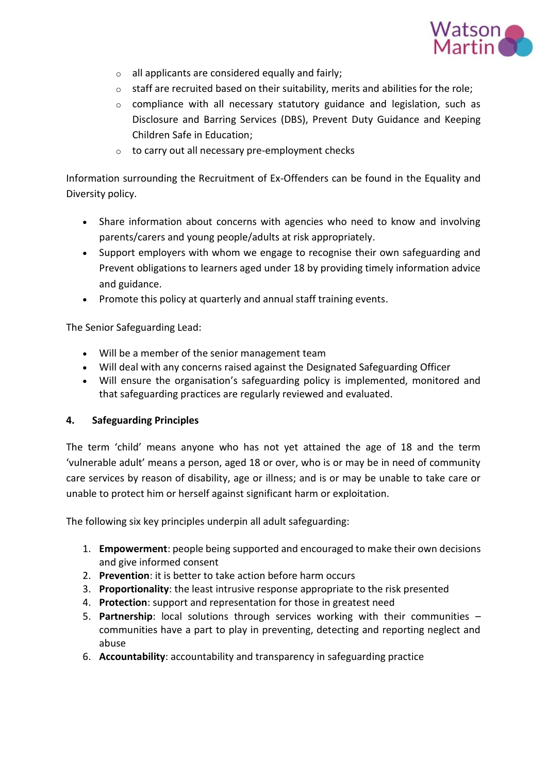

- $\circ$  all applicants are considered equally and fairly;
- $\circ$  staff are recruited based on their suitability, merits and abilities for the role;
- $\circ$  compliance with all necessary statutory guidance and legislation, such as Disclosure and Barring Services (DBS), Prevent Duty Guidance and Keeping Children Safe in Education;
- $\circ$  to carry out all necessary pre-employment checks

Information surrounding the Recruitment of Ex-Offenders can be found in the Equality and Diversity policy.

- Share information about concerns with agencies who need to know and involving parents/carers and young people/adults at risk appropriately.
- Support employers with whom we engage to recognise their own safeguarding and Prevent obligations to learners aged under 18 by providing timely information advice and guidance.
- Promote this policy at quarterly and annual staff training events.

The Senior Safeguarding Lead:

- Will be a member of the senior management team
- Will deal with any concerns raised against the Designated Safeguarding Officer
- Will ensure the organisation's safeguarding policy is implemented, monitored and that safeguarding practices are regularly reviewed and evaluated.

### **4. Safeguarding Principles**

The term 'child' means anyone who has not yet attained the age of 18 and the term 'vulnerable adult' means a person, aged 18 or over, who is or may be in need of community care services by reason of disability, age or illness; and is or may be unable to take care or unable to protect him or herself against significant harm or exploitation.

The following six key principles underpin all adult safeguarding:

- 1. **Empowerment**: people being supported and encouraged to make their own decisions and give informed consent
- 2. **Prevention**: it is better to take action before harm occurs
- 3. **Proportionality**: the least intrusive response appropriate to the risk presented
- 4. **Protection**: support and representation for those in greatest need
- 5. **Partnership**: local solutions through services working with their communities communities have a part to play in preventing, detecting and reporting neglect and abuse
- 6. **Accountability**: accountability and transparency in safeguarding practice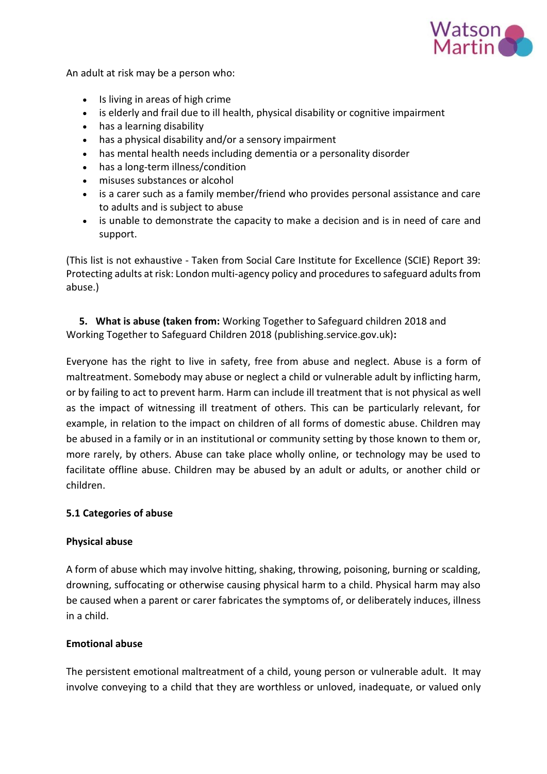

An adult at risk may be a person who:

- Is living in areas of high crime
- is elderly and frail due to ill health, physical disability or cognitive impairment
- has a learning disability
- has a physical disability and/or a sensory impairment
- has mental health needs including dementia or a personality disorder
- has a long-term illness/condition
- misuses substances or alcohol
- is a carer such as a family member/friend who provides personal assistance and care to adults and is subject to abuse
- is unable to demonstrate the capacity to make a decision and is in need of care and support.

(This list is not exhaustive - Taken from Social Care Institute for Excellence (SCIE) Report 39: Protecting adults at risk: London multi-agency policy and procedures to safeguard adults from abuse.)

**5. What is abuse (taken from:** Working Together to Safeguard children 2018 and [Working Together to Safeguard Children 2018 \(publishing.service.gov.uk\)](https://assets.publishing.service.gov.uk/government/uploads/system/uploads/attachment_data/file/942454/Working_together_to_safeguard_children_inter_agency_guidance.pdf)**:**

Everyone has the right to live in safety, free from abuse and neglect. Abuse is a form of maltreatment. Somebody may abuse or neglect a child or vulnerable adult by inflicting harm, or by failing to act to prevent harm. Harm can include ill treatment that is not physical as well as the impact of witnessing ill treatment of others. This can be particularly relevant, for example, in relation to the impact on children of all forms of domestic abuse. Children may be abused in a family or in an institutional or community setting by those known to them or, more rarely, by others. Abuse can take place wholly online, or technology may be used to facilitate offline abuse. Children may be abused by an adult or adults, or another child or children.

### **5.1 Categories of abuse**

### **Physical abuse**

A form of abuse which may involve hitting, shaking, throwing, poisoning, burning or scalding, drowning, suffocating or otherwise causing physical harm to a child. Physical harm may also be caused when a parent or carer fabricates the symptoms of, or deliberately induces, illness in a child.

### **Emotional abuse**

The persistent emotional maltreatment of a child, young person or vulnerable adult. It may involve conveying to a child that they are worthless or unloved, inadequate, or valued only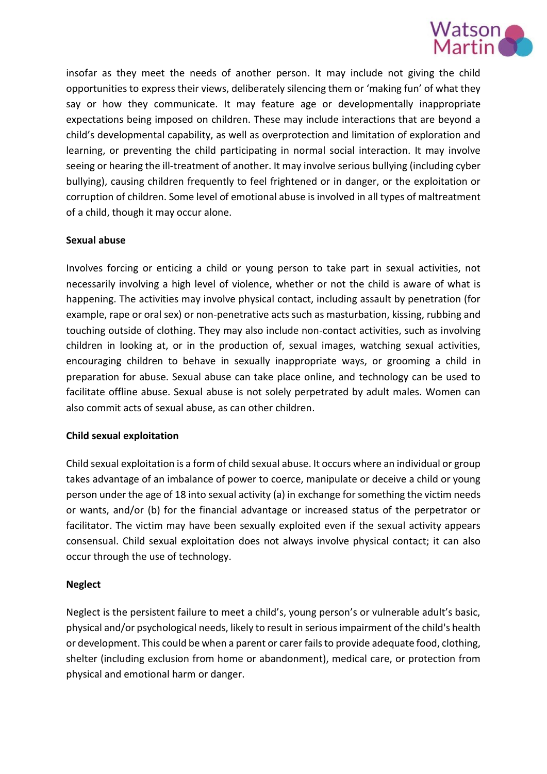

insofar as they meet the needs of another person. It may include not giving the child opportunities to express their views, deliberately silencing them or 'making fun' of what they say or how they communicate. It may feature age or developmentally inappropriate expectations being imposed on children. These may include interactions that are beyond a child's developmental capability, as well as overprotection and limitation of exploration and learning, or preventing the child participating in normal social interaction. It may involve seeing or hearing the ill-treatment of another. It may involve serious bullying (including cyber bullying), causing children frequently to feel frightened or in danger, or the exploitation or corruption of children. Some level of emotional abuse is involved in all types of maltreatment of a child, though it may occur alone.

## **Sexual abuse**

Involves forcing or enticing a child or young person to take part in sexual activities, not necessarily involving a high level of violence, whether or not the child is aware of what is happening. The activities may involve physical contact, including assault by penetration (for example, rape or oral sex) or non-penetrative acts such as masturbation, kissing, rubbing and touching outside of clothing. They may also include non-contact activities, such as involving children in looking at, or in the production of, sexual images, watching sexual activities, encouraging children to behave in sexually inappropriate ways, or grooming a child in preparation for abuse. Sexual abuse can take place online, and technology can be used to facilitate offline abuse. Sexual abuse is not solely perpetrated by adult males. Women can also commit acts of sexual abuse, as can other children.

# **Child sexual exploitation**

Child sexual exploitation is a form of child sexual abuse. It occurs where an individual or group takes advantage of an imbalance of power to coerce, manipulate or deceive a child or young person under the age of 18 into sexual activity (a) in exchange for something the victim needs or wants, and/or (b) for the financial advantage or increased status of the perpetrator or facilitator. The victim may have been sexually exploited even if the sexual activity appears consensual. Child sexual exploitation does not always involve physical contact; it can also occur through the use of technology.

### **Neglect**

Neglect is the persistent failure to meet a child's, young person's or vulnerable adult's basic, physical and/or psychological needs, likely to result in serious impairment of the child's health or development. This could be when a parent or carer fails to provide adequate food, clothing, shelter (including exclusion from home or abandonment), medical care, or protection from physical and emotional harm or danger.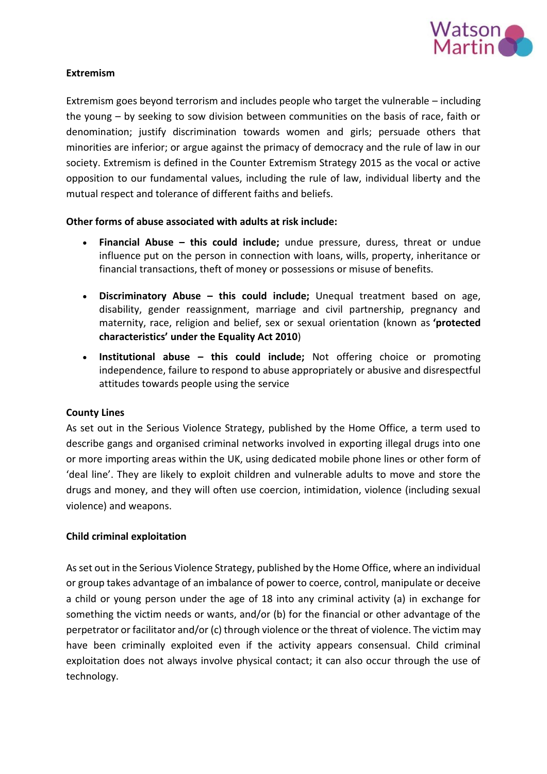

## **Extremism**

Extremism goes beyond terrorism and includes people who target the vulnerable – including the young – by seeking to sow division between communities on the basis of race, faith or denomination; justify discrimination towards women and girls; persuade others that minorities are inferior; or argue against the primacy of democracy and the rule of law in our society. Extremism is defined in the Counter Extremism Strategy 2015 as the vocal or active opposition to our fundamental values, including the rule of law, individual liberty and the mutual respect and tolerance of different faiths and beliefs.

### **Other forms of abuse associated with adults at risk include:**

- **Financial Abuse – this could include;** undue pressure, duress, threat or undue influence put on the person in connection with loans, wills, property, inheritance or financial transactions, theft of money or possessions or misuse of benefits.
- **Discriminatory Abuse – this could include;** Unequal treatment based on age, disability, gender reassignment, marriage and civil partnership, pregnancy and maternity, race, religion and belief, sex or sexual orientation (known as **['protected](https://www.equalityhumanrights.com/en/equality-act/protected-characteristics) [characteristics'](https://www.equalityhumanrights.com/en/equality-act/protected-characteristics) under the Equality Act 2010**)
- **Institutional abuse – this could include;** Not offering choice or promoting independence, failure to respond to abuse appropriately or abusive and disrespectful attitudes towards people using the service

### **County Lines**

As set out in the Serious Violence Strategy, published by the Home Office, a term used to describe gangs and organised criminal networks involved in exporting illegal drugs into one or more importing areas within the UK, using dedicated mobile phone lines or other form of 'deal line'. They are likely to exploit children and vulnerable adults to move and store the drugs and money, and they will often use coercion, intimidation, violence (including sexual violence) and weapons.

### **Child criminal exploitation**

As set out in the Serious Violence Strategy, published by the Home Office, where an individual or group takes advantage of an imbalance of power to coerce, control, manipulate or deceive a child or young person under the age of 18 into any criminal activity (a) in exchange for something the victim needs or wants, and/or (b) for the financial or other advantage of the perpetrator or facilitator and/or (c) through violence or the threat of violence. The victim may have been criminally exploited even if the activity appears consensual. Child criminal exploitation does not always involve physical contact; it can also occur through the use of technology.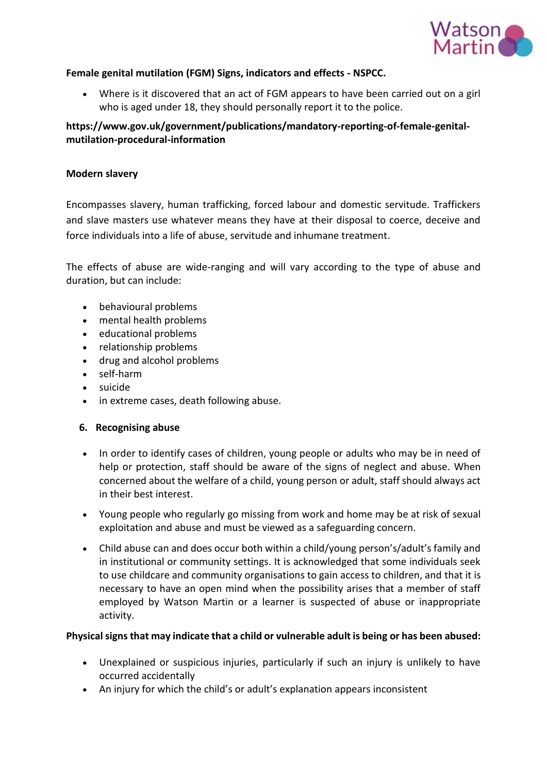

# **[Female genital mutilation \(FGM\) Signs, indicators and effects -](https://www.nspcc.org.uk/preventing-abuse/child-abuse-and-neglect/female-genital-mutilation-fgm/signs-symptoms-and-effects/) NSPCC.**

• Where is it discovered that an act of FGM appears to have been carried out on a girl who is aged under 18, they should personally report it to the police.

# **[https://www.gov.uk/government/publications/mandatory-reporting-of-female-genital](https://www.gov.uk/government/publications/mandatory-reporting-of-female-genital-mutilation-procedural-information)[mutilation-procedural-information](https://www.gov.uk/government/publications/mandatory-reporting-of-female-genital-mutilation-procedural-information)**

### **Modern slavery**

Encompasses slavery, human trafficking, forced labour and domestic servitude. Traffickers and slave masters use whatever means they have at their disposal to coerce, deceive and force individuals into a life of abuse, servitude and inhumane treatment.

The effects of abuse are wide-ranging and will vary according to the type of abuse and duration, but can include:

- behavioural problems
- mental health problems
- educational problems
- relationship problems
- drug and alcohol problems
- self-harm
- suicide
- in extreme cases, death following abuse.

### **6. Recognising abuse**

- In order to identify cases of children, young people or adults who may be in need of help or protection, staff should be aware of the signs of neglect and abuse. When concerned about the welfare of a child, young person or adult, staff should always act in their best interest.
- Young people who regularly go missing from work and home may be at risk of sexual exploitation and abuse and must be viewed as a safeguarding concern.
- Child abuse can and does occur both within a child/young person's/adult's family and in institutional or community settings. It is acknowledged that some individuals seek to use childcare and community organisations to gain access to children, and that it is necessary to have an open mind when the possibility arises that a member of staff employed by Watson Martin or a learner is suspected of abuse or inappropriate activity.

### **Physical signs that may indicate that a child or vulnerable adult is being or has been abused:**

- Unexplained or suspicious injuries, particularly if such an injury is unlikely to have occurred accidentally
- An injury for which the child's or adult's explanation appears inconsistent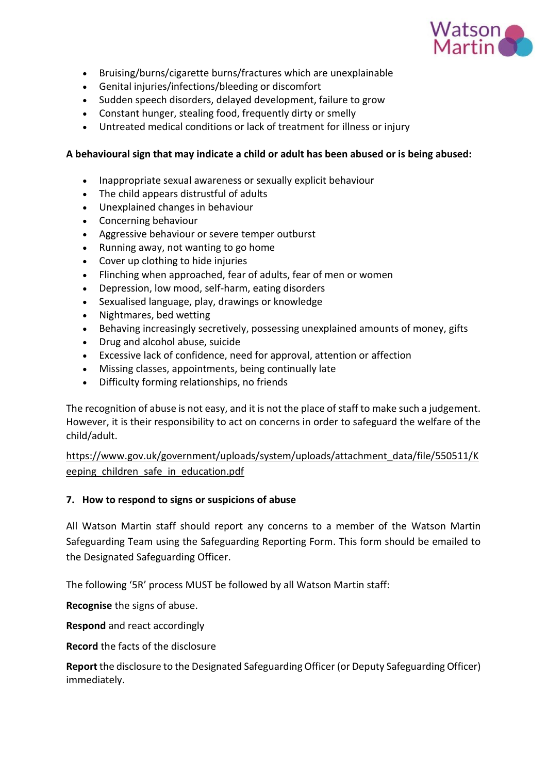

- Bruising/burns/cigarette burns/fractures which are unexplainable
- Genital injuries/infections/bleeding or discomfort
- Sudden speech disorders, delayed development, failure to grow
- Constant hunger, stealing food, frequently dirty or smelly
- Untreated medical conditions or lack of treatment for illness or injury

## **A behavioural sign that may indicate a child or adult has been abused or is being abused:**

- Inappropriate sexual awareness or sexually explicit behaviour
- The child appears distrustful of adults
- Unexplained changes in behaviour
- Concerning behaviour
- Aggressive behaviour or severe temper outburst
- Running away, not wanting to go home
- Cover up clothing to hide injuries
- Flinching when approached, fear of adults, fear of men or women
- Depression, low mood, self-harm, eating disorders
- Sexualised language, play, drawings or knowledge
- Nightmares, bed wetting
- Behaving increasingly secretively, possessing unexplained amounts of money, gifts
- Drug and alcohol abuse, suicide
- Excessive lack of confidence, need for approval, attention or affection
- Missing classes, appointments, being continually late
- Difficulty forming relationships, no friends

The recognition of abuse is not easy, and it is not the place of staff to make such a judgement. However, it is their responsibility to act on concerns in order to safeguard the welfare of the child/adult.

https://www.gov.uk/government/uploads/system/uploads/attachment\_data/file/550511/K eeping children safe in education.pdf

# **7. How to respond to signs or suspicions of abuse**

All Watson Martin staff should report any concerns to a member of the Watson Martin Safeguarding Team using the Safeguarding Reporting Form. This form should be emailed to the Designated Safeguarding Officer.

The following '5R' process MUST be followed by all Watson Martin staff:

**Recognise** the signs of abuse.

**Respond** and react accordingly

**Record** the facts of the disclosure

**Report** the disclosure to the Designated Safeguarding Officer (or Deputy Safeguarding Officer) immediately.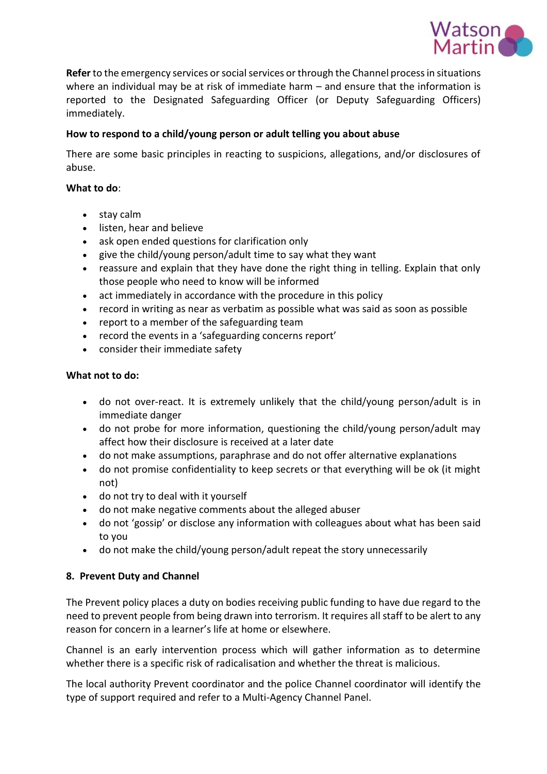

**Refer**to the emergency services or social services or through the Channel process in situations where an individual may be at risk of immediate harm – and ensure that the information is reported to the Designated Safeguarding Officer (or Deputy Safeguarding Officers) immediately.

### **How to respond to a child/young person or adult telling you about abuse**

There are some basic principles in reacting to suspicions, allegations, and/or disclosures of abuse.

### **What to do**:

- stay calm
- listen, hear and believe
- ask open ended questions for clarification only
- give the child/young person/adult time to say what they want
- reassure and explain that they have done the right thing in telling. Explain that only those people who need to know will be informed
- act immediately in accordance with the procedure in this policy
- record in writing as near as verbatim as possible what was said as soon as possible
- report to a member of the safeguarding team
- record the events in a 'safeguarding concerns report'
- consider their immediate safety

#### **What not to do:**

- do not over-react. It is extremely unlikely that the child/young person/adult is in immediate danger
- do not probe for more information, questioning the child/young person/adult may affect how their disclosure is received at a later date
- do not make assumptions, paraphrase and do not offer alternative explanations
- do not promise confidentiality to keep secrets or that everything will be ok (it might not)
- do not try to deal with it yourself
- do not make negative comments about the alleged abuser
- do not 'gossip' or disclose any information with colleagues about what has been said to you
- do not make the child/young person/adult repeat the story unnecessarily

### **8. Prevent Duty and Channel**

The Prevent policy places a duty on bodies receiving public funding to have due regard to the need to prevent people from being drawn into terrorism. It requires all staff to be alert to any reason for concern in a learner's life at home or elsewhere.

Channel is an early intervention process which will gather information as to determine whether there is a specific risk of radicalisation and whether the threat is malicious.

The local authority Prevent coordinator and the police Channel coordinator will identify the type of support required and refer to a Multi-Agency Channel Panel.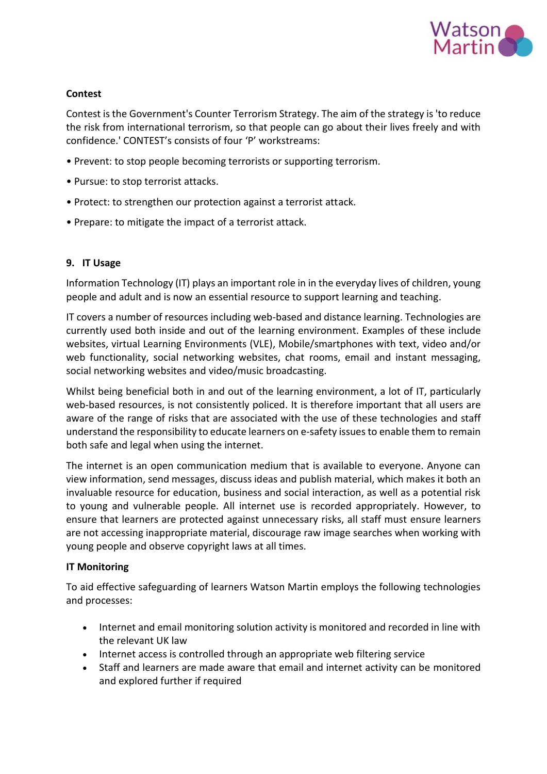

## **Contest**

Contest is the Government's Counter Terrorism Strategy. The aim of the strategy is 'to reduce the risk from international terrorism, so that people can go about their lives freely and with confidence.' CONTEST's consists of four 'P' workstreams:

- Prevent: to stop people becoming terrorists or supporting terrorism.
- Pursue: to stop terrorist attacks.
- Protect: to strengthen our protection against a terrorist attack.
- Prepare: to mitigate the impact of a terrorist attack.

## **9. IT Usage**

Information Technology (IT) plays an important role in in the everyday lives of children, young people and adult and is now an essential resource to support learning and teaching.

IT covers a number of resources including web-based and distance learning. Technologies are currently used both inside and out of the learning environment. Examples of these include websites, virtual Learning Environments (VLE), Mobile/smartphones with text, video and/or web functionality, social networking websites, chat rooms, email and instant messaging, social networking websites and video/music broadcasting.

Whilst being beneficial both in and out of the learning environment, a lot of IT, particularly web-based resources, is not consistently policed. It is therefore important that all users are aware of the range of risks that are associated with the use of these technologies and staff understand the responsibility to educate learners on e-safety issues to enable them to remain both safe and legal when using the internet.

The internet is an open communication medium that is available to everyone. Anyone can view information, send messages, discuss ideas and publish material, which makes it both an invaluable resource for education, business and social interaction, as well as a potential risk to young and vulnerable people. All internet use is recorded appropriately. However, to ensure that learners are protected against unnecessary risks, all staff must ensure learners are not accessing inappropriate material, discourage raw image searches when working with young people and observe copyright laws at all times.

### **IT Monitoring**

To aid effective safeguarding of learners Watson Martin employs the following technologies and processes:

- Internet and email monitoring solution activity is monitored and recorded in line with the relevant UK law
- Internet access is controlled through an appropriate web filtering service
- Staff and learners are made aware that email and internet activity can be monitored and explored further if required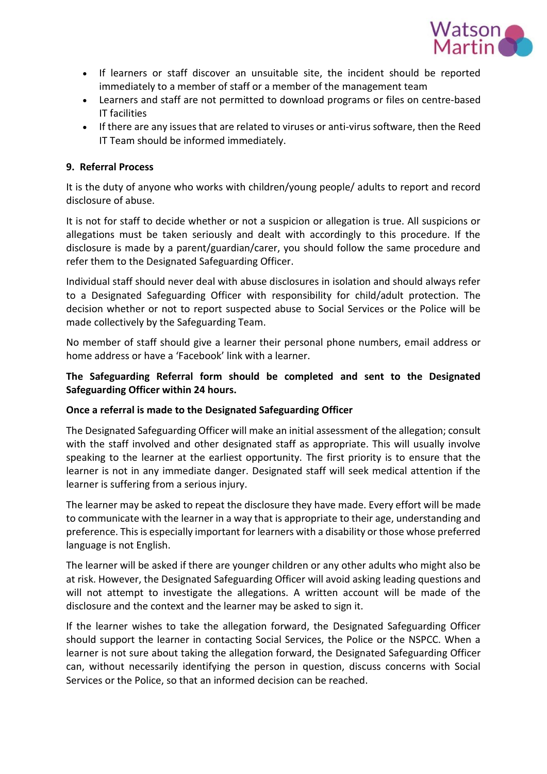

- If learners or staff discover an unsuitable site, the incident should be reported immediately to a member of staff or a member of the management team
- Learners and staff are not permitted to download programs or files on centre-based IT facilities
- If there are any issues that are related to viruses or anti-virus software, then the Reed IT Team should be informed immediately.

### **9. Referral Process**

It is the duty of anyone who works with children/young people/ adults to report and record disclosure of abuse.

It is not for staff to decide whether or not a suspicion or allegation is true. All suspicions or allegations must be taken seriously and dealt with accordingly to this procedure. If the disclosure is made by a parent/guardian/carer, you should follow the same procedure and refer them to the Designated Safeguarding Officer.

Individual staff should never deal with abuse disclosures in isolation and should always refer to a Designated Safeguarding Officer with responsibility for child/adult protection. The decision whether or not to report suspected abuse to Social Services or the Police will be made collectively by the Safeguarding Team.

No member of staff should give a learner their personal phone numbers, email address or home address or have a 'Facebook' link with a learner.

# **The Safeguarding Referral form should be completed and sent to the Designated Safeguarding Officer within 24 hours.**

### **Once a referral is made to the Designated Safeguarding Officer**

The Designated Safeguarding Officer will make an initial assessment of the allegation; consult with the staff involved and other designated staff as appropriate. This will usually involve speaking to the learner at the earliest opportunity. The first priority is to ensure that the learner is not in any immediate danger. Designated staff will seek medical attention if the learner is suffering from a serious injury.

The learner may be asked to repeat the disclosure they have made. Every effort will be made to communicate with the learner in a way that is appropriate to their age, understanding and preference. This is especially important for learners with a disability or those whose preferred language is not English.

The learner will be asked if there are younger children or any other adults who might also be at risk. However, the Designated Safeguarding Officer will avoid asking leading questions and will not attempt to investigate the allegations. A written account will be made of the disclosure and the context and the learner may be asked to sign it.

If the learner wishes to take the allegation forward, the Designated Safeguarding Officer should support the learner in contacting Social Services, the Police or the NSPCC. When a learner is not sure about taking the allegation forward, the Designated Safeguarding Officer can, without necessarily identifying the person in question, discuss concerns with Social Services or the Police, so that an informed decision can be reached.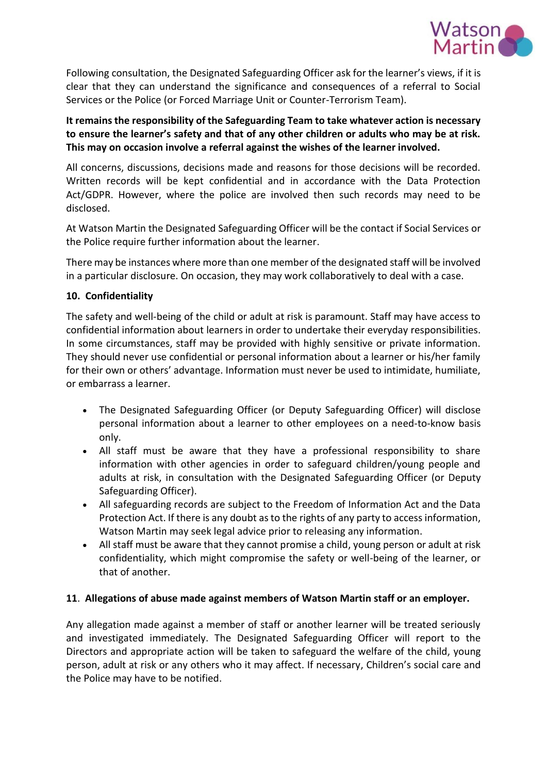

Following consultation, the Designated Safeguarding Officer ask for the learner's views, if it is clear that they can understand the significance and consequences of a referral to Social Services or the Police (or Forced Marriage Unit or Counter-Terrorism Team).

**It remains the responsibility of the Safeguarding Team to take whatever action is necessary to ensure the learner's safety and that of any other children or adults who may be at risk. This may on occasion involve a referral against the wishes of the learner involved.**

All concerns, discussions, decisions made and reasons for those decisions will be recorded. Written records will be kept confidential and in accordance with the Data Protection Act/GDPR. However, where the police are involved then such records may need to be disclosed.

At Watson Martin the Designated Safeguarding Officer will be the contact if Social Services or the Police require further information about the learner.

There may be instances where more than one member of the designated staff will be involved in a particular disclosure. On occasion, they may work collaboratively to deal with a case.

## **10. Confidentiality**

The safety and well-being of the child or adult at risk is paramount. Staff may have access to confidential information about learners in order to undertake their everyday responsibilities. In some circumstances, staff may be provided with highly sensitive or private information. They should never use confidential or personal information about a learner or his/her family for their own or others' advantage. Information must never be used to intimidate, humiliate, or embarrass a learner.

- The Designated Safeguarding Officer (or Deputy Safeguarding Officer) will disclose personal information about a learner to other employees on a need-to-know basis only.
- All staff must be aware that they have a professional responsibility to share information with other agencies in order to safeguard children/young people and adults at risk, in consultation with the Designated Safeguarding Officer (or Deputy Safeguarding Officer).
- All safeguarding records are subject to the Freedom of Information Act and the Data Protection Act. If there is any doubt as to the rights of any party to access information, Watson Martin may seek legal advice prior to releasing any information.
- All staff must be aware that they cannot promise a child, young person or adult at risk confidentiality, which might compromise the safety or well-being of the learner, or that of another.

### **11**. **Allegations of abuse made against members of Watson Martin staff or an employer.**

Any allegation made against a member of staff or another learner will be treated seriously and investigated immediately. The Designated Safeguarding Officer will report to the Directors and appropriate action will be taken to safeguard the welfare of the child, young person, adult at risk or any others who it may affect. If necessary, Children's social care and the Police may have to be notified.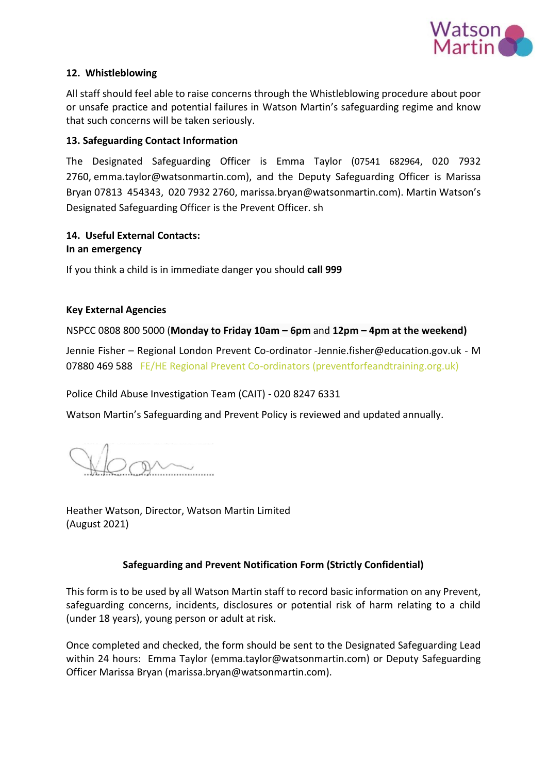

# **12. Whistleblowing**

All staff should feel able to raise concerns through the Whistleblowing procedure about poor or unsafe practice and potential failures in Watson Martin's safeguarding regime and know that such concerns will be taken seriously.

## **13. Safeguarding Contact Information**

The Designated Safeguarding Officer is Emma Taylor (07541 682964, 020 7932 2760, emma.taylo[r@watsonmartin.com\)](mailto:sharon.white@watsonmartin.com), and the Deputy Safeguarding Officer is Marissa Bryan 07813 454343, 020 7932 2760, [marissa.bryan@watsonmartin.com\).](mailto:marissa.bryan@watsonmartin.com)./) Martin Watson's Designated Safeguarding Officer is the Prevent Officer. sh

### **14. Useful External Contacts: In an emergency**

If you think a child is in immediate danger you should **call 999**

## **Key External Agencies**

## NSPCC 0808 800 5000 (**Monday to Friday 10am – 6pm** and **12pm – 4pm at the weekend)**

Jennie Fisher – Regional London Prevent Co-ordinator [-Jennie.fisher@education.gov.uk](mailto:-Jennie.fisher@education.gov.uk) - M 07880 469 588 [FE/HE Regional Prevent Co-ordinators \(preventforfeandtraining.org.uk\)](https://preventforfeandtraining.org.uk/wp-content/uploads/2020/12/HEFE-Coordiantor-network-map.pdf)

Police Child Abuse Investigation Team (CAIT) - 020 8247 6331

Watson Martin's Safeguarding and Prevent Policy is reviewed and updated annually.

Heather Watson, Director, Watson Martin Limited (August 2021)

# **Safeguarding and Prevent Notification Form (Strictly Confidential)**

This form is to be used by all Watson Martin staff to record basic information on any Prevent, safeguarding concerns, incidents, disclosures or potential risk of harm relating to a child (under 18 years), young person or adult at risk.

Once completed and checked, the form should be sent to the Designated Safeguarding Lead within 24 hours: Emma Taylor (e[mma](mailto:sharon.white@watsonmartin.com).taylor@watsonmartin.com) or Deputy Safeguarding Officer Marissa Bryan [\(marissa.bryan@watsonmartin.com\).](mailto:marissa.bryan@watsonmartin.com)./)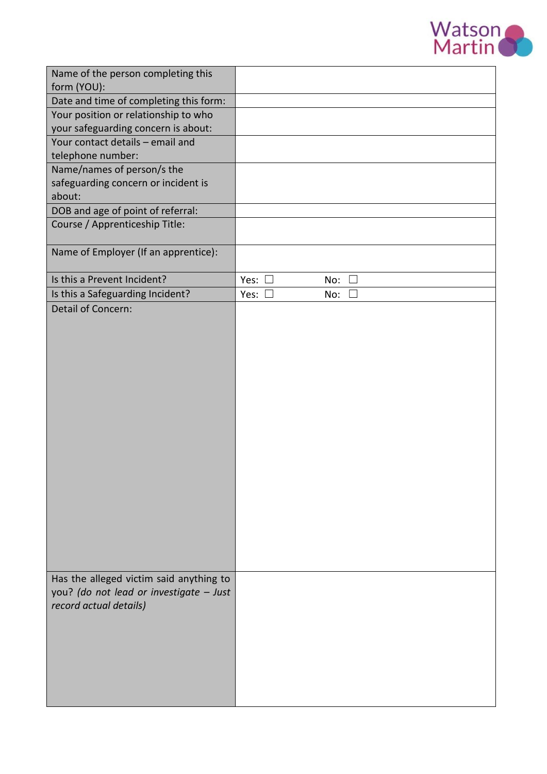

| Name of the person completing this      |                       |
|-----------------------------------------|-----------------------|
| form (YOU):                             |                       |
| Date and time of completing this form:  |                       |
| Your position or relationship to who    |                       |
| your safeguarding concern is about:     |                       |
| Your contact details - email and        |                       |
| telephone number:                       |                       |
| Name/names of person/s the              |                       |
| safeguarding concern or incident is     |                       |
| about:                                  |                       |
| DOB and age of point of referral:       |                       |
| Course / Apprenticeship Title:          |                       |
| Name of Employer (If an apprentice):    |                       |
| Is this a Prevent Incident?             | Yes:<br>No:           |
| Is this a Safeguarding Incident?        | Yes: $\square$<br>No: |
| Detail of Concern:                      |                       |
|                                         |                       |
|                                         |                       |
|                                         |                       |
|                                         |                       |
|                                         |                       |
|                                         |                       |
|                                         |                       |
|                                         |                       |
|                                         |                       |
|                                         |                       |
|                                         |                       |
|                                         |                       |
|                                         |                       |
|                                         |                       |
|                                         |                       |
|                                         |                       |
|                                         |                       |
|                                         |                       |
|                                         |                       |
|                                         |                       |
| Has the alleged victim said anything to |                       |
| you? (do not lead or investigate - Just |                       |
| record actual details)                  |                       |
|                                         |                       |
|                                         |                       |
|                                         |                       |
|                                         |                       |
|                                         |                       |
|                                         |                       |
|                                         |                       |